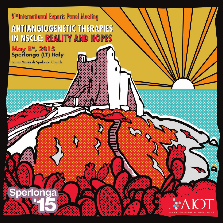9<sup>TH</sup> International Experts Panel Meeting **ANTIANGIOGENETIC THERAPIES IN NSCLC: REALITY AND HOPES** 

# May 8<sup>m</sup>, 2015<br>Sperlonga (LT) Italy

Santa Maria di Spelonca Church

er

٥

 $\epsilon$ 

O **P** 

е

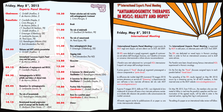# **Friday, May 8TH , 2015** *Experts Panel Meeting*

**Chairmen:** *C. Gridelli (Avellino, I) F. de Marinis (Milan, I)*

**Panelists:** *F. Ciardiello (Naples, I) L. Crinò (Perugia, I) F. de Marinis (Milan, I) J.Y. Douillard (St Herblain, FR) C. Gridelli (Avellino, I) F. Griesinger (Oldenburg, DE) D. Lambrechts (Leuven, B) M. Perol (Lyon, FR) S.S. Ramalingam (Atlanta,USA) E. Smit (Amsterdam,The ND)*

**09.00 Welcome and AIOT activity presentation** *C. Gridelli (Avellino - I)*

> **International Consensus Experts Panel story and End points** *F. de Marinis (Milan, I)*

- **09.15 Mechanisms of angiogenesis and NSCLC** *F. Ciardiello (Naples, I)*
- **09.30 Antiangiogenetics in NSCLC: pitfalls and failure of clinical trials** *F. de Marinis (Milan, I)*
- **09.45 Biomarkers for antiangiogenetics** *D. Lambrechts (Leuven, B)*
- **10.00 The role of bevacizumab** *S.S. Ramalingam (Atlanta,USA)*
- **10.15 Bevacizumab beyond progression: proof of concept and the AvaALL trial** *R. Lilenbaum (New Haven, CT - USA)*

**10.30 Patient selection and risk toxicity with antiangiogenetic treatment** *L. Crinò (Perugia, I)*

### **10.45 Break**

**11.00 The role of nindetanib** *J.Y. Douillard (St Herblain, FR)*

**11.15 The role of ramucirumab** *M. Perol (Lyon, FR)*

**11.30 New antiangiogenetic drugs** *F. Griesinger (Oldenburg, DE)*

**11.45 Ongoing trials** *E. Smit (Amsterdam,The ND)*

**12.00 Discussion**

## **13.30** *Lunch*

**15.00 A Consensus for clinical practice** *Facilitator: S.S. Ramalingam (Atlanta, USA)*

**16.30 A Consensus for clinical research** *Facilitator: F. Ciardiello (Naples, I)*

**18.00 Position Slide Presentation** *Coordinator: C. Gridelli (Avellino, I)*

**19.30 Basis for a position paper** *Coordinator: E. Bria (Verona, I)*

**20.00** *Dinner*

Sperlonga

**Friday, May 8th , 2015** *International Meeting*

> L'**International Experts Panel Meeting** è organizzato da AIOT negli anni dispari, ad anni alterni con la CIOT, dal 2009.

9<sup>TH</sup> International Experts Panel Meeting

**"ANTIANGIOGENETIC THERAPIES** 

**IN NSCLC: REALITY AND HOPES"** 

Gli IEPs sono dedicati a quegli argomenti, oggetto di controversia nel settore dell'Oncologia Toracica, con l'obiettivo di trovare un consenso internazionale e stilare alcune raccomandazioni.

I Panelist sono stati selezionati tra i principali KOL internazionali esperti nel campo dell'oncologia toracica.

Il primo giorno il "Panel" discute gli argomenti preassegnati a ciascun componente a "porte chiuse".

La diffusione dei risultati degli IEPs (convenuti l'8 maggio 2015) avviene attraverso un servizio di "Streaming" a disposizione dei soci nell'area a loro riservata all'interno del sito web AIOT www.oncologiatoracica.it.

Il giorno 9 maggio 2015, dalle ore 9.00, i soci digitando le loro credenziali di accesso all'area a loro riservata potranno assistere in diretta alle relazioni dei panelist e alla comunicazione dei risultati convenuti.

All'evento seguirà anche la pubblicazione di un paper su una rivista internazionale indexata.

The **International Experts Panel Meeting** is organized by AIOT in odd years, on alternate years with CIOT, from 2009.

The IEPs are dedicated on vexed topics in thoracic oncology field, in order to find an international consensus and to draft some advices.

The Panelist were been chosed among famous international KOL experienced in thoracic oncology.

On the first day the "Panel" discusses assigned topics to each panelist behind "closed doors".

The spreading of the IEPs results (agreed on May 8th 2015) occurs by a streaming service, for all AIOT members, in their reserved area on the AIOT website www.oncologiatoracica.it.

On May 9th 2015, from 9.00 a.m., the members who are interested to follow in real time the panelist's speeches and the communication of the agreed results, will be able to enter in the reserved section, signing their log-in and password.

The editing of a paper on an international index review will follow.